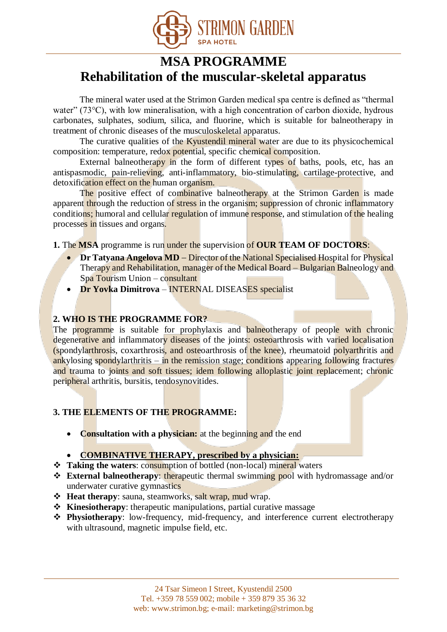

# **MSA PROGRAMME Rehabilitation of the muscular-skeletal apparatus**

The mineral water used at the Strimon Garden medical spa centre is defined as "thermal water" (73°C), with low mineralisation, with a high concentration of carbon dioxide, hydrous carbonates, sulphates, sodium, silica, and fluorine, which is suitable for balneotherapy in treatment of chronic diseases of the musculoskeletal apparatus.

The curative qualities of the Kyustendil mineral water are due to its physicochemical composition: temperature, redox potential, specific chemical composition.

External balneotherapy in the form of different types of baths, pools, etc, has an antispasmodic, pain-relieving, anti-inflammatory, bio-stimulating, cartilage-protective, and detoxification effect on the human organism.

The positive effect of combinative balneotherapy at the Strimon Garden is made apparent through the reduction of stress in the organism; suppression of chronic inflammatory conditions; humoral and cellular regulation of immune response, and stimulation of the healing processes in tissues and organs.

**1.** The MSA programme is run under the supervision of OUR TEAM OF DOCTORS:

- **Dr Tatyana Angelova MD** Director of the National Specialised Hospital for Physical Therapy and Rehabilitation, manager of the Medical Board – Bulgarian Balneology and Spa Tourism Union – consultant
- **Dr Yovka Dimitrova INTERNAL DISEASES** specialist

### **2. WHO IS THE PROGRAMME FOR?**

The programme is suitable for prophylaxis and balneotherapy of people with chronic degenerative and inflammatory diseases of the joints: osteoarthrosis with varied localisation (spondylarthrosis, coxarthrosis, and osteoarthrosis of the knee), rheumatoid polyarthritis and ankylosing spondylarthritis – in the remission stage; conditions appearing following fractures and trauma to joints and soft tissues; idem following alloplastic joint replacement; chronic peripheral arthritis, bursitis, tendosynovitides.

# **3. THE ELEMENTS OF THE PROGRAMME:**

**Consultation with a physician:** at the beginning and the end

### **COMBINATIVE THERAPY, prescribed by a physician:**

- **Taking the waters**: consumption of bottled (non-local) mineral waters
- **External balneotherapy**: therapeutic thermal swimming pool with hydromassage and/or underwater curative gymnastics
- $\triangle$  **Heat therapy**: sauna, steamworks, salt wrap, mud wrap.
- **Kinesiotherapy**: therapeutic manipulations, partial curative massage
- **Physiotherapy**: low-frequency, mid-frequency, and interference current electrotherapy with ultrasound, magnetic impulse field, etc.